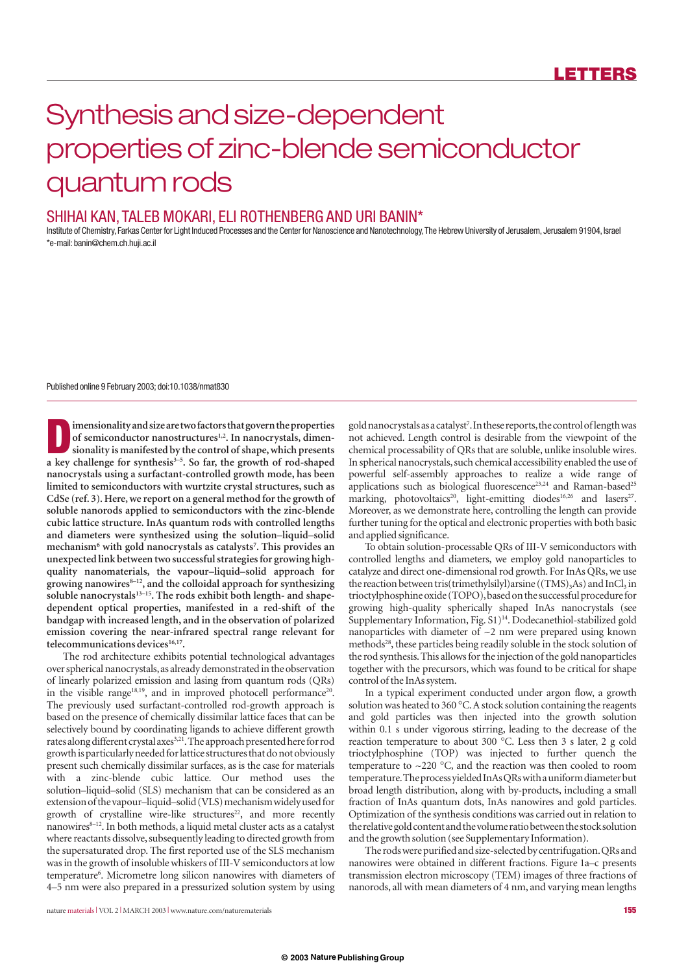# Synthesis and size-dependent properties of zinc-blende semiconductor quantum rods

### SHIHAI KAN, TALEB MOKARI, ELI ROTHENBERG AND URI BANIN\*

Institute of Chemistry, Farkas Center for Light Induced Processes and the Center for Nanoscience and Nanotechnology, The Hebrew University of Jerusalem, Jerusalem 91904, Israel \*e-mail:banin@chem.ch.huji.ac.il

Published online 9 February 2003; doi:10.1038/nmat830

**D**<br>**ID**<br>**imensionality and size are two factors that govern the properties<br>sionality is manifested by the control of shape, which presents<br>a level delenge for surthosis<sup>3-5</sup>. So for the grouth of red shaped** of semiconductor nanostructures<sup>1,2</sup>. In nanocrystals, dimen**sionality is manifested by the control of shape, which presents** a key challenge for synthesis<sup>3-5</sup>. So far, the growth of rod-shaped **nanocrystals using a surfactant-controlled growth mode, has been limited to semiconductors with wurtzite crystal structures, such as CdSe (ref. 3). Here, we report on a general method for the growth of soluble nanorods applied to semiconductors with the zinc-blende cubic lattice structure. InAs quantum rods with controlled lengths and diameters were synthesized using the solution–liquid–solid mechanism6 with gold nanocrystals as catalysts7 . This provides an unexpected link between two successful strategies for growing highquality nanomaterials, the vapour–liquid–solid approach for**  growing nanowires<sup>8-12</sup>, and the colloidal approach for synthesizing soluble nanocrystals<sup>13-15</sup>. The rods exhibit both length- and shape**dependent optical properties, manifested in a red-shift of the bandgap with increased length, and in the observation of polarized emission covering the near-infrared spectral range relevant for** telecommunications devices<sup>16,17</sup>.

The rod architecture exhibits potential technological advantages over spherical nanocrystals,as already demonstrated in the observation of linearly polarized emission and lasing from quantum rods (QRs) in the visible range<sup>18,19</sup>, and in improved photocell performance<sup>20</sup>. The previously used surfactant-controlled rod-growth approach is based on the presence of chemically dissimilar lattice faces that can be selectively bound by coordinating ligands to achieve different growth rates along different crystal axes<sup>3,21</sup>. The approach presented here for rod growth is particularly needed for lattice structures that do not obviously present such chemically dissimilar surfaces, as is the case for materials with a zinc-blende cubic lattice. Our method uses the solution–liquid–solid (SLS) mechanism that can be considered as an extension of the vapour–liquid–solid (VLS) mechanism widely used for growth of crystalline wire-like structures<sup>22</sup>, and more recently nanowires<sup>8-12</sup>. In both methods, a liquid metal cluster acts as a catalyst where reactants dissolve, subsequently leading to directed growth from the supersaturated drop. The first reported use of the SLS mechanism was in the growth of insoluble whiskers of III-V semiconductors at low temperature<sup>6</sup>. Micrometre long silicon nanowires with diameters of 4–5 nm were also prepared in a pressurized solution system by using

gold nanocrystals as a catalyst<sup>7</sup>. In these reports, the control of length was not achieved. Length control is desirable from the viewpoint of the chemical processability of QRs that are soluble, unlike insoluble wires. In spherical nanocrystals, such chemical accessibility enabled the use of powerful self-assembly approaches to realize a wide range of applications such as biological fluorescence<sup>23,24</sup> and Raman-based<sup>25</sup> marking, photovoltaics<sup>20</sup>, light-emitting diodes<sup>16,26</sup> and lasers<sup>27</sup>. Moreover, as we demonstrate here, controlling the length can provide further tuning for the optical and electronic properties with both basic and applied significance.

To obtain solution-processable QRs of III-V semiconductors with controlled lengths and diameters, we employ gold nanoparticles to catalyze and direct one-dimensional rod growth. For InAs QRs, we use the reaction between tris(trimethylsilyl)arsine ((TMS)<sub>3</sub>As) and InCl<sub>3</sub> in trioctylphosphine oxide (TOPO),based on the successful procedure for growing high-quality spherically shaped InAs nanocrystals (see Supplementary Information, Fig. S1)<sup>14</sup>. Dodecanethiol-stabilized gold nanoparticles with diameter of  $\sim$ 2 nm were prepared using known methods<sup>28</sup>, these particles being readily soluble in the stock solution of the rod synthesis.This allows for the injection of the gold nanoparticles together with the precursors, which was found to be critical for shape control of the InAs system.

In a typical experiment conducted under argon flow, a growth solution was heated to 360 °C.A stock solution containing the reagents and gold particles was then injected into the growth solution within 0.1 s under vigorous stirring, leading to the decrease of the reaction temperature to about 300 °C. Less then 3 s later, 2 g cold trioctylphosphine (TOP) was injected to further quench the temperature to  $\sim$ 220 °C, and the reaction was then cooled to room temperature.The process yielded InAs QRs with a uniform diameter but broad length distribution, along with by-products, including a small fraction of InAs quantum dots, InAs nanowires and gold particles. Optimization of the synthesis conditions was carried out in relation to the relative gold content and the volume ratio between the stock solution and the growth solution (see Supplementary Information).

The rods were purified and size-selected by centrifugation.QRs and nanowires were obtained in different fractions. Figure 1a–c presents transmission electron microscopy (TEM) images of three fractions of nanorods, all with mean diameters of 4 nm, and varying mean lengths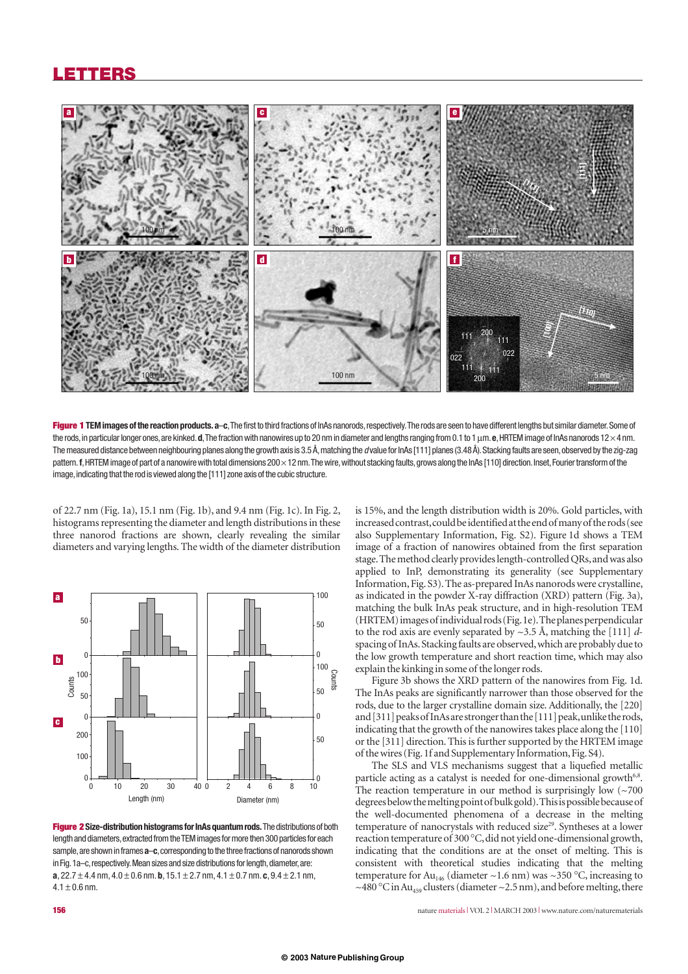### **LETTERS**



**Figure 1 TEM images of the reaction products. a**–**c**,The first to third fractions of InAs nanorods,respectively.The rods are seen to have different lengths but similar diameter.Some of the rods,in particular longer ones,are kinked.**d**,The fraction with nanowires up to 20 nm in diameter and lengths ranging from 0.1 to 1µm.**e**,HRTEM image of InAs nanorods 12×4 nm. The measured distance between neighbouring planes along the growth axis is 3.5 Å, matching the *d* value for InAs [111] planes (3.48 Å). Stacking faults are seen, observed by the zig-zag pattern. **f**, HRTEM image of part of a nanowire with total dimensions 200 × 12 nm. The wire, without stacking faults, grows along the InAs [110] direction. Inset, Fourier transform of the image, indicating that the rod is viewed along the [111] zone axis of the cubic structure.

of 22.7 nm (Fig. 1a), 15.1 nm (Fig. 1b), and 9.4 nm (Fig. 1c). In Fig. 2, histograms representing the diameter and length distributions in these three nanorod fractions are shown, clearly revealing the similar diameters and varying lengths. The width of the diameter distribution



**Figure 2 Size-distribution histograms for InAs quantum rods.**The distributions of both length and diameters, extracted from the TEM images for more then 300 particles for each sample,are shown in frames **a**–**c**,corresponding to the three fractions of nanorods shown in Fig. 1a–c, respectively. Mean sizes and size distributions for length, diameter, are: **a**,  $22.7 \pm 4.4$  nm,  $4.0 \pm 0.6$  nm. **b**,  $15.1 \pm 2.7$  nm,  $4.1 \pm 0.7$  nm. **c**,  $9.4 \pm 2.1$  nm,  $4.1 + 0.6$  nm.

is 15%, and the length distribution width is 20%. Gold particles, with increased contrast,could be identified at the end of many of the rods (see also Supplementary Information, Fig. S2). Figure 1d shows a TEM image of a fraction of nanowires obtained from the first separation stage. The method clearly provides length-controlled QRs, and was also applied to InP, demonstrating its generality (see Supplementary Information, Fig. S3). The as-prepared InAs nanorods were crystalline, as indicated in the powder X-ray diffraction (XRD) pattern (Fig. 3a), matching the bulk InAs peak structure, and in high-resolution TEM (HRTEM) images of individual rods (Fig.1e).The planes perpendicular to the rod axis are evenly separated by ~3.5 Å, matching the [111] *d*spacing of InAs.Stacking faults are observed,which are probably due to the low growth temperature and short reaction time, which may also explain the kinking in some of the longer rods.

Figure 3b shows the XRD pattern of the nanowires from Fig. 1d. The InAs peaks are significantly narrower than those observed for the rods, due to the larger crystalline domain size. Additionally, the [220] and [311] peaks of InAs are stronger than the [111] peak,unlike the rods, indicating that the growth of the nanowires takes place along the [110] or the [311] direction. This is further supported by the HRTEM image of the wires (Fig.1f and Supplementary Information,Fig.S4).

The SLS and VLS mechanisms suggest that a liquefied metallic particle acting as a catalyst is needed for one-dimensional growth<sup>6,8</sup>. The reaction temperature in our method is surprisingly low  $(\sim 700$ degrees below the melting point of bulk gold).This is possible because of the well-documented phenomena of a decrease in the melting temperature of nanocrystals with reduced size<sup>29</sup>. Syntheses at a lower reaction temperature of 300 °C, did not yield one-dimensional growth, indicating that the conditions are at the onset of melting. This is consistent with theoretical studies indicating that the melting temperature for Au<sub>146</sub> (diameter ~1.6 nm) was ~350 °C, increasing to ~480 °C in Au<sub>459</sub> clusters (diameter ~2.5 nm), and before melting, there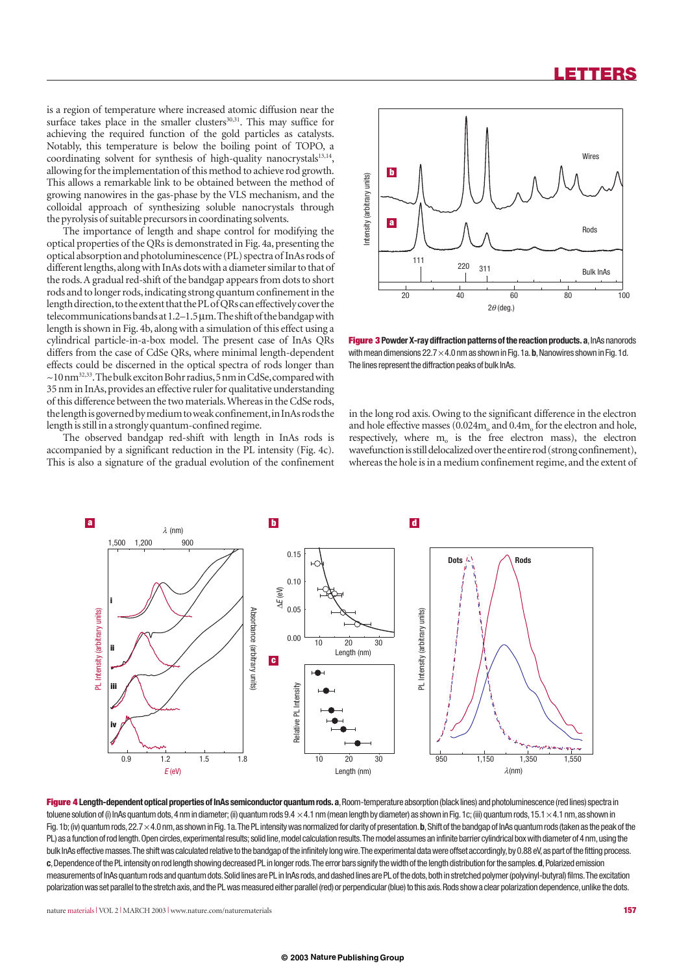### **LETTERS**

is a region of temperature where increased atomic diffusion near the surface takes place in the smaller clusters<sup>30,31</sup>. This may suffice for achieving the required function of the gold particles as catalysts. Notably, this temperature is below the boiling point of TOPO, a coordinating solvent for synthesis of high-quality nanocrystals<sup>13,14</sup>, allowing for the implementation of this method to achieve rod growth. This allows a remarkable link to be obtained between the method of growing nanowires in the gas-phase by the VLS mechanism, and the colloidal approach of synthesizing soluble nanocrystals through the pyrolysis of suitable precursors in coordinating solvents.

The importance of length and shape control for modifying the optical properties of the QRs is demonstrated in Fig. 4a, presenting the optical absorption and photoluminescence (PL) spectra of InAs rods of different lengths, along with InAs dots with a diameter similar to that of the rods.A gradual red-shift of the bandgap appears from dots to short rods and to longer rods,indicating strong quantum confinement in the length direction, to the extent that the PL of QRs can effectively cover the telecommunications bands at 1.2–1.5µm.The shift of the bandgap with length is shown in Fig. 4b, along with a simulation of this effect using a cylindrical particle-in-a-box model. The present case of InAs QRs differs from the case of CdSe QRs, where minimal length-dependent effects could be discerned in the optical spectra of rods longer than  $\sim$ 10 nm<sup>32,33</sup>. The bulk exciton Bohr radius, 5 nm in CdSe, compared with 35 nm in InAs, provides an effective ruler for qualitative understanding of this difference between the two materials.Whereas in the CdSe rods, the length is governed by medium to weak confinement,in InAs rods the length is still in a strongly quantum-confined regime.

The observed bandgap red-shift with length in InAs rods is accompanied by a significant reduction in the PL intensity (Fig. 4c). This is also a signature of the gradual evolution of the confinement



**Figure 3** Powder X-ray diffraction patterns of the reaction products. a, InAs nanorods with mean dimensions  $22.7 \times 4.0$  nm as shown in Fig. 1a. **b**, Nanowires shown in Fig. 1d. The lines represent the diffraction peaks of bulk InAs.

in the long rod axis. Owing to the significant difference in the electron and hole effective masses  $(0.024m<sub>o</sub>$  and  $0.4m<sub>o</sub>$  for the electron and hole, respectively, where  $m<sub>o</sub>$  is the free electron mass), the electron wavefunction is still delocalized over the entire rod (strong confinement),



**Figure 4 Length-dependent optical properties of InAs semiconductor quantum rods.a**,Room-temperature absorption (black lines) and photoluminescence (red lines) spectra in toluene solution of (i) InAs quantum dots, 4 nm in diameter; (ii) quantum rods 9.4  $\times$ 4.1 nm (mean length by diameter) as shown in Fig. 1c; (iii) quantum rods, 15.1  $\times$ 4.1 nm, as shown in Fig.1b; (iv) quantum rods, 22.7×4.0 nm, as shown in Fig.1a. The PL intensity was normalized for clarity of presentation. b, Shift of the bandgap of InAs quantum rods (taken as the peak of the PL) as a function of rod length. Open circles, experimental results; solid line, model calculation results. The model assumes an infinite barrier cylindrical box with diameter of 4 nm, using the bulk InAs effective masses. The shift was calculated relative to the bandgap of the infinitely long wire. The experimental data were offset accordingly, by 0.88 eV, as part of the fitting process. **c**,Dependence of the PL intensity on rod length showing decreased PL in longer rods.The error bars signify the width of the length distribution for the samples.**d**,Polarized emission measurements of InAs quantum rods and quantum dots.Solid lines are PL in InAs rods,and dashed lines are PL of the dots,both in stretched polymer (polyvinyl-butyral) films.The excitation polarization was set parallel to the stretch axis, and the PL was measured either parallel (red) or perpendicular (blue) to this axis. Rods show a clear polarization dependence, unlike the dots.

nature materials **<sup>|</sup>** VOL 2 **<sup>|</sup>** MARCH 2003 **<sup>|</sup>** www.nature.com/naturematerials **157**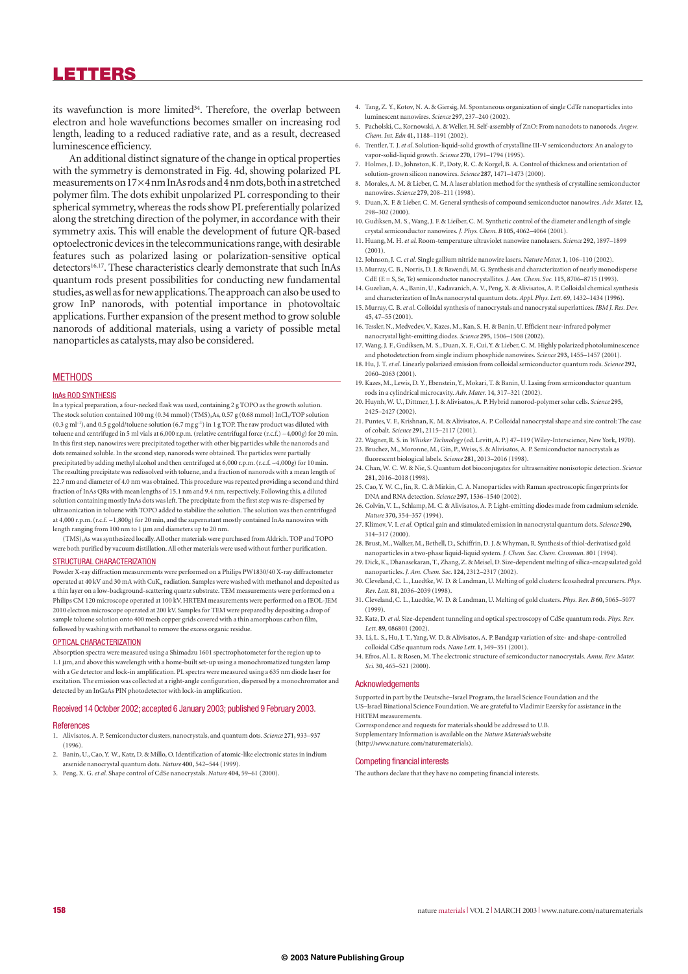### **LETTERS**

its wavefunction is more limited<sup>34</sup>. Therefore, the overlap between electron and hole wavefunctions becomes smaller on increasing rod length, leading to a reduced radiative rate, and as a result, decreased luminescence efficiency.

An additional distinct signature of the change in optical properties with the symmetry is demonstrated in Fig. 4d, showing polarized PL measurements on 17×4nm InAs rods and 4nm dots,both in a stretched polymer film. The dots exhibit unpolarized PL corresponding to their spherical symmetry, whereas the rods show PL preferentially polarized along the stretching direction of the polymer, in accordance with their symmetry axis. This will enable the development of future QR-based optoelectronic devices in the telecommunications range,with desirable features such as polarized lasing or polarization-sensitive optical detectors<sup>16,17</sup>. These characteristics clearly demonstrate that such InAs quantum rods present possibilities for conducting new fundamental studies,as well as for new applications.The approach can also be used to grow InP nanorods, with potential importance in photovoltaic applications. Further expansion of the present method to grow soluble nanorods of additional materials, using a variety of possible metal nanoparticles as catalysts, may also be considered.

#### **MFTHODS**

#### InAs ROD SYNTHESIS

In a typical preparation, a four-necked flask was used, containing 2 g TOPO as the growth solution. The stock solution contained 100 mg (0.34 mmol) (TMS)<sub>3</sub>As, 0.57 g (0.68 mmol) InCl<sub>3</sub>/TOP solution  $(0.3 \text{ g} \text{ ml}^{-1})$ , and 0.5 g gold/toluene solution  $(6.7 \text{ mg g}^{-1})$  in 1 g TOP. The raw product was diluted with toluene and centrifuged in 5 ml vials at 6,000 r.p.m. (relative centrifugal force (r.c.f.) ~4,000*g*) for 20 min. In this first step, nanowires were precipitated together with other big particles while the nanorods and dots remained soluble. In the second step, nanorods were obtained. The particles were partially precipitated by adding methyl alcohol and then centrifuged at 6,000 r.p.m. (r.c.f. ~4,000*g*) for 10 min. The resulting precipitate was redissolved with toluene, and a fraction of nanorods with a mean length of 22.7 nm and diameter of 4.0 nm was obtained. This procedure was repeated providing a second and third fraction of InAs QRs with mean lengths of 15.1 nm and 9.4 nm, respectively. Following this, a diluted solution containing mostly InAs dots was left. The precipitate from the first step was re-dispersed by ultrasonication in toluene with TOPO added to stabilize the solution. The solution was then centrifuged at 4,000 r.p.m. (r.c.f. ~1,800g) for 20 min, and the supernatant mostly contained InAs nanowires with length ranging from 100 nm to 1 µm and diameters up to 20 nm.

(TMS)3As was synthesized locally. All other materials were purchased from Aldrich. TOP and TOPO were both purified by vacuum distillation. All other materials were used without further purification.

#### STRUCTURAL CHARACTERIZATION

Powder X-ray diffraction measurements were performed on a Philips PW1830/40 X-ray diffractometer operated at 40 kV and 30 mA with  $CuK<sub>a</sub>$  radiation. Samples were washed with methanol and deposited as a thin layer on a low-background-scattering quartz substrate. TEM measurements were performed on a Philips CM 120 microscope operated at 100 kV. HRTEM measurements were performed on a JEOL-JEM 2010 electron microscope operated at 200 kV. Samples for TEM were prepared by depositing a drop of sample toluene solution onto 400 mesh copper grids covered with a thin amorphous carbon film, followed by washing with methanol to remove the excess organic residue.

#### OPTICAL CHARACTERIZATION

Absorption spectra were measured using a Shimadzu 1601 spectrophotometer for the region up to 1.1 µm, and above this wavelength with a home-built set-up using a monochromatized tungsten lamp with a Ge detector and lock-in amplification. PL spectra were measured using a 635 nm diode laser for excitation. The emission was collected at a right-angle configuration, dispersed by a monochromator and detected by an InGaAs PIN photodetector with lock-in amplification.

#### Received 14 October 2002; accepted 6 January 2003; published 9 February 2003.

#### References

- 1. Alivisatos, A. P. Semiconductor clusters, nanocrystals, and quantum dots. *Science* **271,** 933–937 (1996).
- 2. Banin, U., Cao, Y. W., Katz, D. & Millo, O. Identification of atomic-like electronic states in indium arsenide nanocrystal quantum dots. *Nature* **400,** 542–544 (1999).
- 3. Peng, X. G.*et al.* Shape control of CdSe nanocrystals. *Nature* **404,** 59–61 (2000).
- 4. Tang, Z. Y., Kotov, N. A. & Giersig, M. Spontaneous organization of single CdTe nanoparticles into luminescent nanowires. *Science* **297,** 237–240 (2002).
- 5. Pacholski, C., Kornowski, A. & Weller, H. Self-assembly of ZnO: From nanodots to nanorods.*Angew. Chem. Int. Edn* **41,** 1188–1191 (2002).
- 6. Trentler, T. J.*et al.* Solution-liquid-solid growth of crystalline III-V semiconductors: An analogy to vapor-solid-liquid growth. *Science* **270,** 1791–1794 (1995).
- 7. Holmes, J. D., Johnston, K. P., Doty, R. C. & Korgel, B. A. Control of thickness and orientation of solution-grown silicon nanowires. *Science* **287,** 1471–1473 (2000).
- 8. Morales, A. M. & Lieber, C. M. A laser ablation method for the synthesis of crystalline semiconductor nanowires. *Science* **279,** 208–211 (1998).
- 9. Duan, X. F. & Lieber, C. M. General synthesis of compound semiconductor nanowires.*Adv. Mater.* **12,** 298–302 (2000).
- 10. Gudiksen, M. S., Wang, J. F. & Lieiber, C. M. Synthetic control of the diameter and length of single crystal semiconductor nanowires.*J. Phys. Chem. B* **105,** 4062–4064 (2001).
- 11. Huang, M. H.*et al.* Room-temperature ultraviolet nanowire nanolasers. *Science* **292,** 1897–1899  $(2001)$
- 12. Johnson, J. C.*et al.* Single gallium nitride nanowire lasers. *Nature Mater.* **1,** 106–110 (2002).
- 13. Murray, C. B., Norris, D. J. & Bawendi, M. G. Synthesis and characterization of nearly monodisperse CdE (E = S, Se, Te) semiconductor nanocrystallites.*J. Am. Chem. Soc.* **115,** 8706–8715 (1993).
- 14. Guzelian, A. A., Banin, U., Kadavanich, A. V., Peng, X. & Alivisatos, A. P. Colloidal chemical synthesis and characterization of InAs nanocrystal quantum dots.*Appl. Phys. Lett.* 69, 1432–1434 (1996).
- 15. Murray, C. B.*et al.* Colloidal synthesis of nanocrystals and nanocrystal superlattices.*IBM J. Res. Dev.* **45,** 47–55 (2001).
- 16. Tessler, N., Medvedev, V., Kazes, M., Kan, S. H. & Banin, U. Efficient near-infrared polymer nanocrystal light-emitting diodes. *Science* **295,** 1506–1508 (2002).
- 17. Wang, J. F., Gudiksen, M. S., Duan, X. F., Cui, Y. & Lieber, C. M. Highly polarized photoluminescence and photodetection from single indium phosphide nanowires. *Science* **293,** 1455–1457 (2001).
- 18. Hu, J. T.*et al.* Linearly polarized emission from colloidal semiconductor quantum rods. *Science* **292,** 2060–2063 (2001).
- 19. Kazes, M., Lewis, D. Y., Ebenstein, Y., Mokari, T. & Banin, U. Lasing from semiconductor quantum rods in a cylindrical microcavity.*Adv. Mater.* **14,** 317–321 (2002).
- 20. Huynh, W. U., Dittmer, J. J. & Alivisatos, A. P. Hybrid nanorod-polymer solar cells. *Science* **295,** 2425–2427 (2002).
- 21. Puntes, V. F., Krishnan, K. M. & Alivisatos, A. P. Colloidal nanocrystal shape and size control: The case of cobalt. *Science* **291,** 2115–2117 (2001).
- 22. Wagner, R. S. in *Whisker Technology* (ed. Levitt, A. P.) 47–119 (Wiley-Interscience, New York, 1970). 23. Bruchez, M., Moronne, M., Gin, P., Weiss, S. & Alivisatos, A. P. Semiconductor nanocrystals as fluorescent biological labels. *Science* **281,** 2013–2016 (1998).
- 24. Chan, W. C. W. & Nie, S. Quantum dot bioconjugates for ultrasensitive nonisotopic detection. *Science* **281,** 2016–2018 (1998).
- 25. Cao, Y. W. C., Jin, R. C. & Mirkin, C. A. Nanoparticles with Raman spectroscopic fingerprints for DNA and RNA detection. *Science* **297,** 1536–1540 (2002).
- 26. Colvin, V. L., Schlamp, M. C. & Alivisatos, A. P. Light-emitting diodes made from cadmium selenide. *Nature* **370,** 354–357 (1994).
- 27. Klimov, V. I.*et al.* Optical gain and stimulated emission in nanocrystal quantum dots. *Science* **290,** 314–317 (2000).
- 28. Brust, M., Walker, M., Bethell, D., Schiffrin, D. J. & Whyman, R. Synthesis of thiol-derivatised gold nanoparticles in a two-phase liquid-liquid system.*J. Chem. Soc. Chem. Commun.* 801 (1994).
- 29. Dick, K., Dhanasekaran, T., Zhang, Z. & Meisel, D. Size-dependent melting of silica-encapsulated gold nanoparticles.*J. Am. Chem. Soc.* **124,** 2312–2317 (2002).
- 30. Cleveland, C. L., Luedtke, W. D. & Landman, U. Melting of gold clusters: Icosahedral precursers. *Phys. Rev. Lett.* **81,** 2036–2039 (1998).
- 31. Cleveland, C. L., Luedtke, W. D. & Landman, U. Melting of gold clusters. *Phys. Rev. B* **60,** 5065–5077 (1999).
- 32. Katz, D.*et al.* Size-dependent tunneling and optical spectroscopy of CdSe quantum rods. *Phys. Rev. Lett.* **89,** 086801 (2002).
- 33. Li, L. S., Hu, J. T., Yang, W. D. & Alivisatos, A. P. Bandgap variation of size- and shape-controlled colloidal CdSe quantum rods. *Nano Lett.* **1,** 349–351 (2001).
- 34. Efros, Al. L. & Rosen, M. The electronic structure of semiconductor nanocrystals.*Annu. Rev. Mater. Sci.* **30,** 465–521 (2000).

#### Acknowledgements

Supported in part by the Deutsche–Israel Program, the Israel Science Foundation and the US–Israel Binational Science Foundation. We are grateful to Vladimir Ezersky for assistance in the HRTEM measurements.

Correspondence and requests for materials should be addressed to U.B. Supplementary Information is available on the *Nature Materials* website (http://www.nature.com/naturematerials).

#### Competing financial interests

The authors declare that they have no competing financial interests.